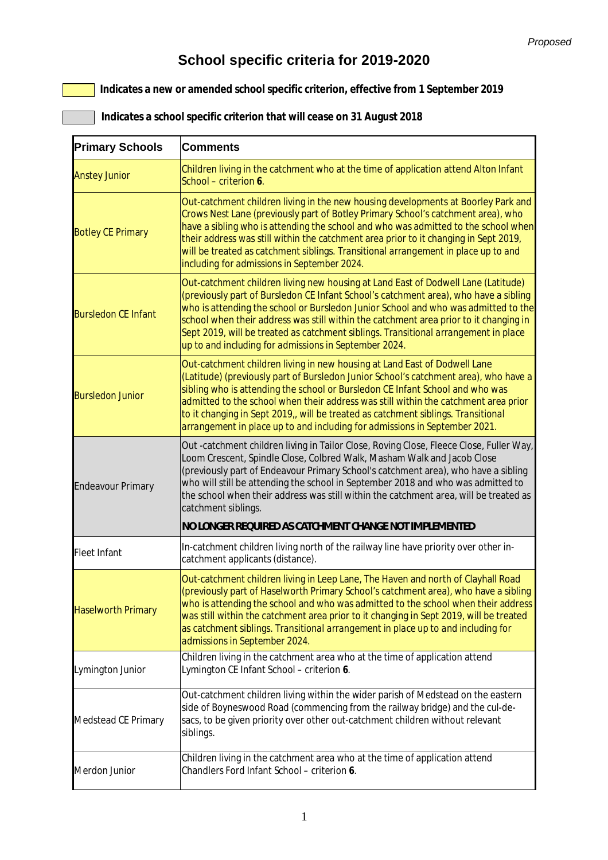## **School specific criteria for 2019-2020**

 **Indicates a new or amended school specific criterion, effective from 1 September 2019**

 **Indicates a school specific criterion that will cease on 31 August 2018**

| <b>Primary Schools</b>     | <b>Comments</b>                                                                                                                                                                                                                                                                                                                                                                                                                                                                                              |
|----------------------------|--------------------------------------------------------------------------------------------------------------------------------------------------------------------------------------------------------------------------------------------------------------------------------------------------------------------------------------------------------------------------------------------------------------------------------------------------------------------------------------------------------------|
| <b>Anstey Junior</b>       | Children living in the catchment who at the time of application attend Alton Infant<br>School - criterion 6.                                                                                                                                                                                                                                                                                                                                                                                                 |
| <b>Botley CE Primary</b>   | Out-catchment children living in the new housing developments at Boorley Park and<br>Crows Nest Lane (previously part of Botley Primary School's catchment area), who<br>have a sibling who is attending the school and who was admitted to the school when<br>their address was still within the catchment area prior to it changing in Sept 2019,<br>will be treated as catchment siblings. Transitional arrangement in place up to and<br>including for admissions in September 2024.                     |
| <b>Bursledon CE Infant</b> | Out-catchment children living new housing at Land East of Dodwell Lane (Latitude)<br>(previously part of Bursledon CE Infant School's catchment area), who have a sibling<br>who is attending the school or Bursledon Junior School and who was admitted to the<br>school when their address was still within the catchment area prior to it changing in<br>Sept 2019, will be treated as catchment siblings. Transitional arrangement in place<br>up to and including for admissions in September 2024.     |
| <b>Bursledon Junior</b>    | Out-catchment children living in new housing at Land East of Dodwell Lane<br>(Latitude) (previously part of Bursledon Junior School's catchment area), who have a<br>sibling who is attending the school or Bursledon CE Infant School and who was<br>admitted to the school when their address was still within the catchment area prior<br>to it changing in Sept 2019,, will be treated as catchment siblings. Transitional<br>arrangement in place up to and including for admissions in September 2021. |
| <b>Endeavour Primary</b>   | Out -catchment children living in Tailor Close, Roving Close, Fleece Close, Fuller Way,<br>Loom Crescent, Spindle Close, Colbred Walk, Masham Walk and Jacob Close<br>(previously part of Endeavour Primary School's catchment area), who have a sibling<br>who will still be attending the school in September 2018 and who was admitted to<br>the school when their address was still within the catchment area, will be treated as<br>catchment siblings.                                                 |
|                            | <b>NO LONGER REQUIRED AS CATCHMENT CHANGE NOT IMPLEMENTED</b>                                                                                                                                                                                                                                                                                                                                                                                                                                                |
| Fleet Infant               | In-catchment children living north of the railway line have priority over other in-<br>catchment applicants (distance).                                                                                                                                                                                                                                                                                                                                                                                      |
| <b>Haselworth Primary</b>  | Out-catchment children living in Leep Lane, The Haven and north of Clayhall Road<br>(previously part of Haselworth Primary School's catchment area), who have a sibling<br>who is attending the school and who was admitted to the school when their address<br>was still within the catchment area prior to it changing in Sept 2019, will be treated<br>as catchment siblings. Transitional arrangement in place up to and including for<br>admissions in September 2024.                                  |
| Lymington Junior           | Children living in the catchment area who at the time of application attend<br>Lymington CE Infant School - criterion 6.                                                                                                                                                                                                                                                                                                                                                                                     |
| Medstead CE Primary        | Out-catchment children living within the wider parish of Medstead on the eastern<br>side of Boyneswood Road (commencing from the railway bridge) and the cul-de-<br>sacs, to be given priority over other out-catchment children without relevant<br>siblings.                                                                                                                                                                                                                                               |
| Merdon Junior              | Children living in the catchment area who at the time of application attend<br>Chandlers Ford Infant School - criterion 6.                                                                                                                                                                                                                                                                                                                                                                                   |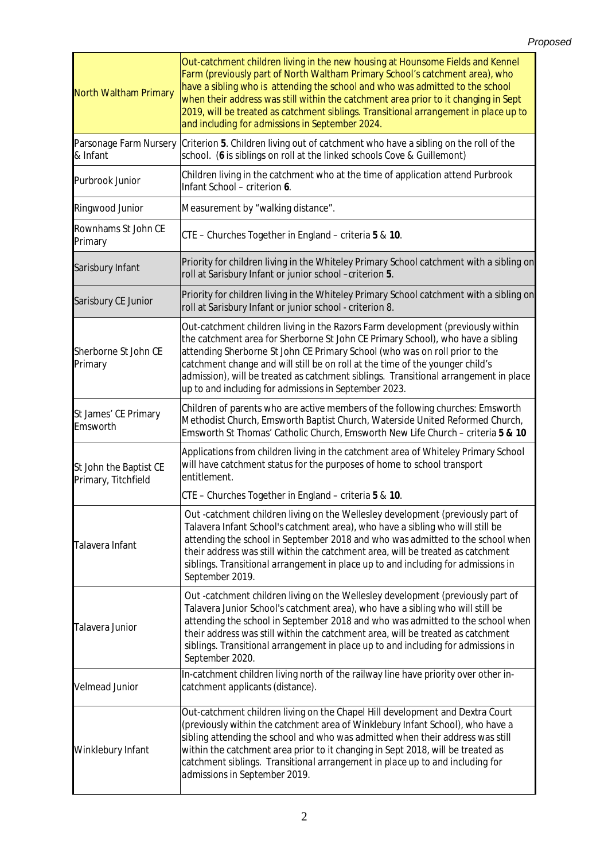| North Waltham Primary                         | Out-catchment children living in the new housing at Hounsome Fields and Kennel<br>Farm (previously part of North Waltham Primary School's catchment area), who<br>have a sibling who is attending the school and who was admitted to the school<br>when their address was still within the catchment area prior to it changing in Sept<br>2019, will be treated as catchment siblings. Transitional arrangement in place up to<br>and including for admissions in September 2024.   |
|-----------------------------------------------|-------------------------------------------------------------------------------------------------------------------------------------------------------------------------------------------------------------------------------------------------------------------------------------------------------------------------------------------------------------------------------------------------------------------------------------------------------------------------------------|
| Parsonage Farm Nursery<br>& Infant            | Criterion 5. Children living out of catchment who have a sibling on the roll of the<br>school. (6 is siblings on roll at the linked schools Cove & Guillemont)                                                                                                                                                                                                                                                                                                                      |
| Purbrook Junior                               | Children living in the catchment who at the time of application attend Purbrook<br>Infant School - criterion 6.                                                                                                                                                                                                                                                                                                                                                                     |
| Ringwood Junior                               | Measurement by "walking distance".                                                                                                                                                                                                                                                                                                                                                                                                                                                  |
| Rownhams St John CE<br>Primary                | CTE - Churches Together in England - criteria 5 & 10.                                                                                                                                                                                                                                                                                                                                                                                                                               |
| Sarisbury Infant                              | Priority for children living in the Whiteley Primary School catchment with a sibling on<br>roll at Sarisbury Infant or junior school -criterion 5.                                                                                                                                                                                                                                                                                                                                  |
| Sarisbury CE Junior                           | Priority for children living in the Whiteley Primary School catchment with a sibling on<br>roll at Sarisbury Infant or junior school - criterion 8.                                                                                                                                                                                                                                                                                                                                 |
| Sherborne St John CE<br>Primary               | Out-catchment children living in the Razors Farm development (previously within<br>the catchment area for Sherborne St John CE Primary School), who have a sibling<br>attending Sherborne St John CE Primary School (who was on roll prior to the<br>catchment change and will still be on roll at the time of the younger child's<br>admission), will be treated as catchment siblings. Transitional arrangement in place<br>up to and including for admissions in September 2023. |
| St James' CE Primary<br>Emsworth              | Children of parents who are active members of the following churches: Emsworth<br>Methodist Church, Emsworth Baptist Church, Waterside United Reformed Church,<br>Emsworth St Thomas' Catholic Church, Emsworth New Life Church - criteria 5 & 10                                                                                                                                                                                                                                   |
| St John the Baptist CE<br>Primary, Titchfield | Applications from children living in the catchment area of Whiteley Primary School<br>will have catchment status for the purposes of home to school transport<br>entitlement.                                                                                                                                                                                                                                                                                                       |
|                                               | CTE - Churches Together in England - criteria 5 & 10.                                                                                                                                                                                                                                                                                                                                                                                                                               |
| Talavera Infant                               | Out -catchment children living on the Wellesley development (previously part of<br>Talavera Infant School's catchment area), who have a sibling who will still be<br>attending the school in September 2018 and who was admitted to the school when<br>their address was still within the catchment area, will be treated as catchment<br>siblings. Transitional arrangement in place up to and including for admissions in<br>September 2019.                                      |
| Talavera Junior                               | Out -catchment children living on the Wellesley development (previously part of<br>Talavera Junior School's catchment area), who have a sibling who will still be<br>attending the school in September 2018 and who was admitted to the school when<br>their address was still within the catchment area, will be treated as catchment<br>siblings. Transitional arrangement in place up to and including for admissions in<br>September 2020.                                      |
| <b>Velmead Junior</b>                         | In-catchment children living north of the railway line have priority over other in-<br>catchment applicants (distance).                                                                                                                                                                                                                                                                                                                                                             |
| Winklebury Infant                             | Out-catchment children living on the Chapel Hill development and Dextra Court<br>(previously within the catchment area of Winklebury Infant School), who have a<br>sibling attending the school and who was admitted when their address was still<br>within the catchment area prior to it changing in Sept 2018, will be treated as<br>catchment siblings. Transitional arrangement in place up to and including for<br>admissions in September 2019.                              |